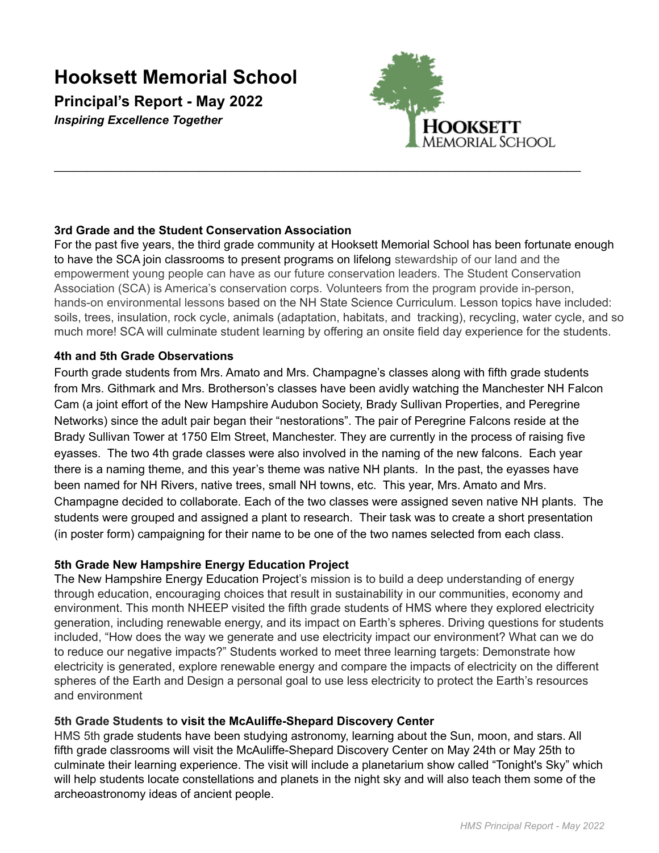# **Hooksett Memorial School**

**Principal's Report - May 2022** *Inspiring Excellence Together*



# **3rd Grade and the Student Conservation Association**

For the past five years, the third grade community at Hooksett Memorial School has been fortunate enough to have the SCA join classrooms to present programs on lifelong stewardship of our land and the empowerment young people can have as our future conservation leaders. The Student Conservation Association (SCA) is America's conservation corps. Volunteers from the program provide in-person, hands-on environmental lessons based on the NH State Science Curriculum. Lesson topics have included: soils, trees, insulation, rock cycle, animals (adaptation, habitats, and tracking), recycling, water cycle, and so much more! SCA will culminate student learning by offering an onsite field day experience for the students.

\_\_\_\_\_\_\_\_\_\_\_\_\_\_\_\_\_\_\_\_\_\_\_\_\_\_\_\_\_\_\_\_\_\_\_\_\_\_\_\_\_\_\_\_\_\_\_\_\_\_\_\_\_\_\_\_\_\_\_\_\_\_\_\_\_\_\_\_\_\_\_\_\_\_\_\_\_\_\_\_

# **4th and 5th Grade Observations**

Fourth grade students from Mrs. Amato and Mrs. Champagne's classes along with fifth grade students from Mrs. Githmark and Mrs. Brotherson's classes have been avidly watching the Manchester NH Falcon Cam (a joint effort of the New Hampshire Audubon Society, Brady Sullivan Properties, and Peregrine Networks) since the adult pair began their "nestorations". The pair of Peregrine Falcons reside at the Brady Sullivan Tower at 1750 Elm Street, Manchester. They are currently in the process of raising five eyasses. The two 4th grade classes were also involved in the naming of the new falcons. Each year there is a naming theme, and this year's theme was native NH plants. In the past, the eyasses have been named for NH Rivers, native trees, small NH towns, etc. This year, Mrs. Amato and Mrs. Champagne decided to collaborate. Each of the two classes were assigned seven native NH plants. The students were grouped and assigned a plant to research. Their task was to create a short presentation (in poster form) campaigning for their name to be one of the two names selected from each class.

# **5th Grade New Hampshire Energy Education Project**

The New Hampshire Energy Education Project's mission is to build a deep understanding of energy through education, encouraging choices that result in sustainability in our communities, economy and environment. This month NHEEP visited the fifth grade students of HMS where they explored electricity generation, including renewable energy, and its impact on Earth's spheres. Driving questions for students included, "How does the way we generate and use electricity impact our environment? What can we do to reduce our negative impacts?" Students worked to meet three learning targets: Demonstrate how electricity is generated, explore renewable energy and compare the impacts of electricity on the different spheres of the Earth and Design a personal goal to use less electricity to protect the Earth's resources and environment

# **5th Grade Students to visit the McAuliffe-Shepard Discovery Center**

HMS 5th grade students have been studying astronomy, learning about the Sun, moon, and stars. All fifth grade classrooms will visit the McAuliffe-Shepard Discovery Center on May 24th or May 25th to culminate their learning experience. The visit will include a planetarium show called "Tonight's Sky" which will help students locate constellations and planets in the night sky and will also teach them some of the archeoastronomy ideas of ancient people.